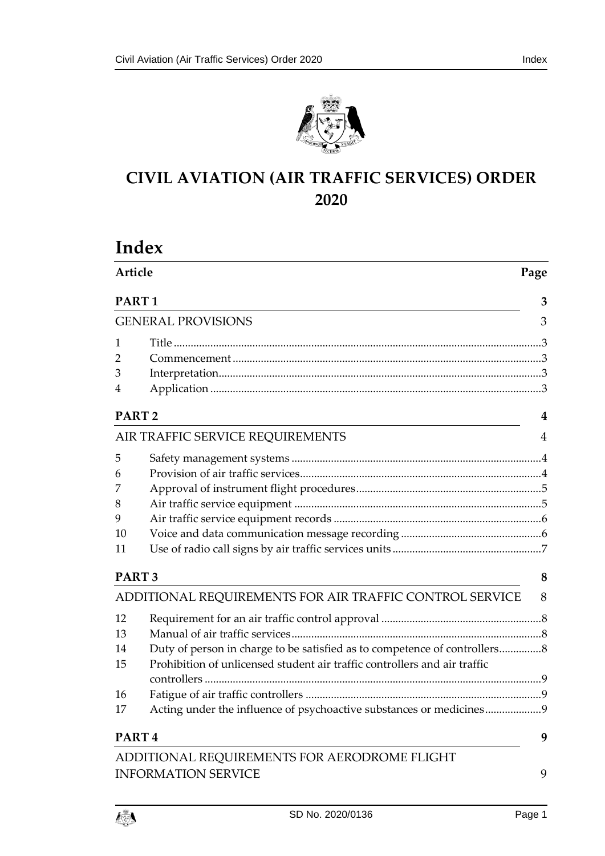

# **CIVIL AVIATION (AIR TRAFFIC SERVICES) ORDER 2020**

# **Index**

| Article                                                 |                                                                            | Page |  |
|---------------------------------------------------------|----------------------------------------------------------------------------|------|--|
| PART <sub>1</sub>                                       |                                                                            | 3    |  |
| <b>GENERAL PROVISIONS</b>                               |                                                                            | 3    |  |
| 1                                                       |                                                                            |      |  |
| 2                                                       |                                                                            |      |  |
| 3                                                       |                                                                            |      |  |
| 4                                                       |                                                                            |      |  |
|                                                         | PART <sub>2</sub>                                                          |      |  |
|                                                         | AIR TRAFFIC SERVICE REQUIREMENTS                                           | 4    |  |
| 5                                                       |                                                                            |      |  |
| 6                                                       |                                                                            |      |  |
| 7                                                       |                                                                            |      |  |
| 8                                                       |                                                                            |      |  |
| 9                                                       |                                                                            |      |  |
| 10                                                      |                                                                            |      |  |
| 11                                                      |                                                                            |      |  |
| PART <sub>3</sub>                                       |                                                                            | 8    |  |
| ADDITIONAL REQUIREMENTS FOR AIR TRAFFIC CONTROL SERVICE |                                                                            | 8    |  |
| 12                                                      |                                                                            |      |  |
| 13                                                      |                                                                            |      |  |
| 14                                                      | Duty of person in charge to be satisfied as to competence of controllers 8 |      |  |
| 15                                                      | Prohibition of unlicensed student air traffic controllers and air traffic  |      |  |
| 16                                                      |                                                                            |      |  |
| 17                                                      | Acting under the influence of psychoactive substances or medicines9        |      |  |
| PART <sub>4</sub>                                       |                                                                            | 9    |  |
|                                                         | ADDITIONAL REQUIREMENTS FOR AERODROME FLIGHT                               |      |  |
|                                                         | <b>INFORMATION SERVICE</b>                                                 | 9    |  |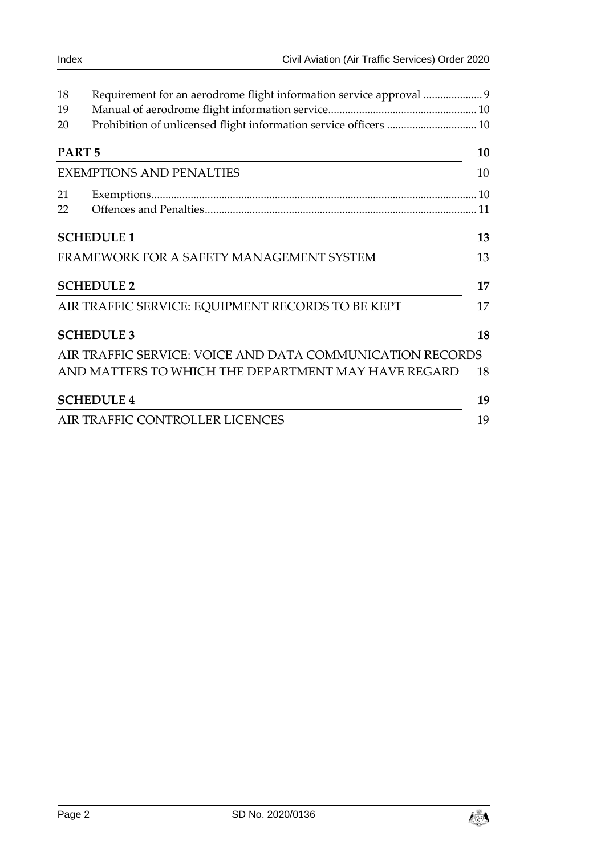| 18                              | Requirement for an aerodrome flight information service approval  9 |    |
|---------------------------------|---------------------------------------------------------------------|----|
| 19                              |                                                                     |    |
| 20                              | Prohibition of unlicensed flight information service officers  10   |    |
| PART <sub>5</sub>               |                                                                     |    |
| <b>EXEMPTIONS AND PENALTIES</b> |                                                                     | 10 |
| 21                              |                                                                     |    |
| 22                              |                                                                     |    |
| <b>SCHEDULE 1</b>               |                                                                     | 13 |
|                                 | FRAMEWORK FOR A SAFETY MANAGEMENT SYSTEM                            | 13 |
| <b>SCHEDULE 2</b>               |                                                                     |    |
|                                 | AIR TRAFFIC SERVICE: EQUIPMENT RECORDS TO BE KEPT                   | 17 |
|                                 | <b>SCHEDULE 3</b>                                                   | 18 |
|                                 | AIR TRAFFIC SERVICE: VOICE AND DATA COMMUNICATION RECORDS           |    |
|                                 | AND MATTERS TO WHICH THE DEPARTMENT MAY HAVE REGARD                 | 18 |
|                                 | <b>SCHEDULE 4</b>                                                   | 19 |
|                                 | AIR TRAFFIC CONTROLLER LICENCES                                     | 19 |

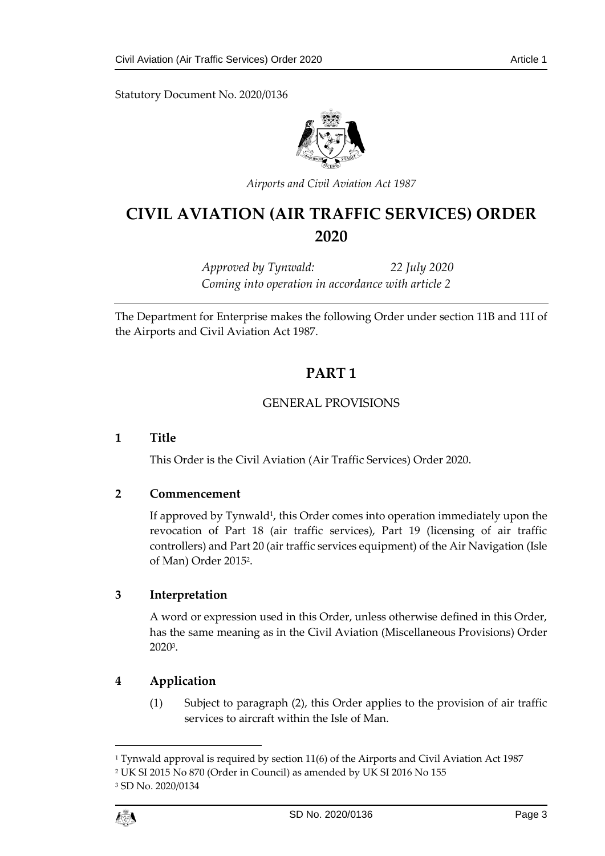Statutory Document No. 2020/0136



*Airports and Civil Aviation Act 1987*

# **CIVIL AVIATION (AIR TRAFFIC SERVICES) ORDER 2020**

*Approved by Tynwald: 22 July 2020 Coming into operation in accordance with article 2*

<span id="page-2-0"></span>The Department for Enterprise makes the following Order under section 11B and 11I of the Airports and Civil Aviation Act 1987.

# **PART 1**

# GENERAL PROVISIONS

# <span id="page-2-2"></span><span id="page-2-1"></span>**1 Title**

This Order is the Civil Aviation (Air Traffic Services) Order 2020.

# <span id="page-2-3"></span>**2 Commencement**

If approved by Tynwald<sup>1</sup>, this Order comes into operation immediately upon the revocation of Part 18 (air traffic services), Part 19 (licensing of air traffic controllers) and Part 20 (air traffic services equipment) of the Air Navigation (Isle of Man) Order 2015<sup>2</sup> .

# <span id="page-2-4"></span>**3 Interpretation**

A word or expression used in this Order, unless otherwise defined in this Order, has the same meaning as in the Civil Aviation (Miscellaneous Provisions) Order 2020<sup>3</sup> .

# <span id="page-2-5"></span>**4 Application**

(1) Subject to paragraph (2), this Order applies to the provision of air traffic services to aircraft within the Isle of Man.

1

<sup>1</sup> Tynwald approval is required by section 11(6) of the Airports and Civil Aviation Act 1987

<sup>2</sup> UK SI 2015 No 870 (Order in Council) as amended by UK SI 2016 No 155

<sup>3</sup> SD No. 2020/0134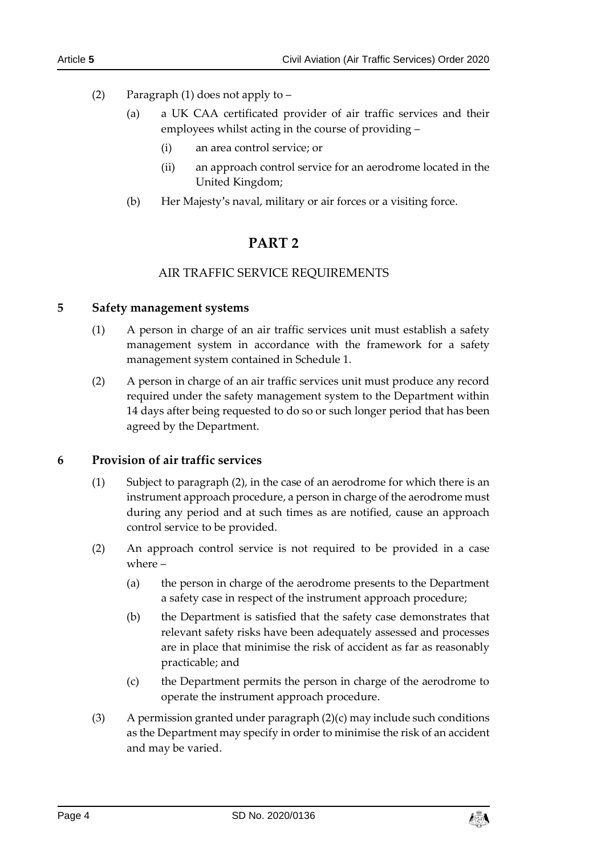- (2) Paragraph (1) does not apply to
	- (a) a UK CAA certificated provider of air traffic services and their employees whilst acting in the course of providing –
		- (i) an area control service; or
		- (ii) an approach control service for an aerodrome located in the United Kingdom;
	- (b) Her Majesty's naval, military or air forces or a visiting force.

# **PART 2**

# AIR TRAFFIC SERVICE REQUIREMENTS

# <span id="page-3-2"></span><span id="page-3-1"></span><span id="page-3-0"></span>**5 Safety management systems**

- (1) A person in charge of an air traffic services unit must establish a safety management system in accordance with the framework for a safety management system contained in Schedule 1.
- (2) A person in charge of an air traffic services unit must produce any record required under the safety management system to the Department within 14 days after being requested to do so or such longer period that has been agreed by the Department.

# <span id="page-3-3"></span>**6 Provision of air traffic services**

- (1) Subject to paragraph (2), in the case of an aerodrome for which there is an instrument approach procedure, a person in charge of the aerodrome must during any period and at such times as are notified, cause an approach control service to be provided.
- (2) An approach control service is not required to be provided in a case where –
	- (a) the person in charge of the aerodrome presents to the Department a safety case in respect of the instrument approach procedure;
	- (b) the Department is satisfied that the safety case demonstrates that relevant safety risks have been adequately assessed and processes are in place that minimise the risk of accident as far as reasonably practicable; and
	- (c) the Department permits the person in charge of the aerodrome to operate the instrument approach procedure.
- (3) A permission granted under paragraph  $(2)(c)$  may include such conditions as the Department may specify in order to minimise the risk of an accident and may be varied.

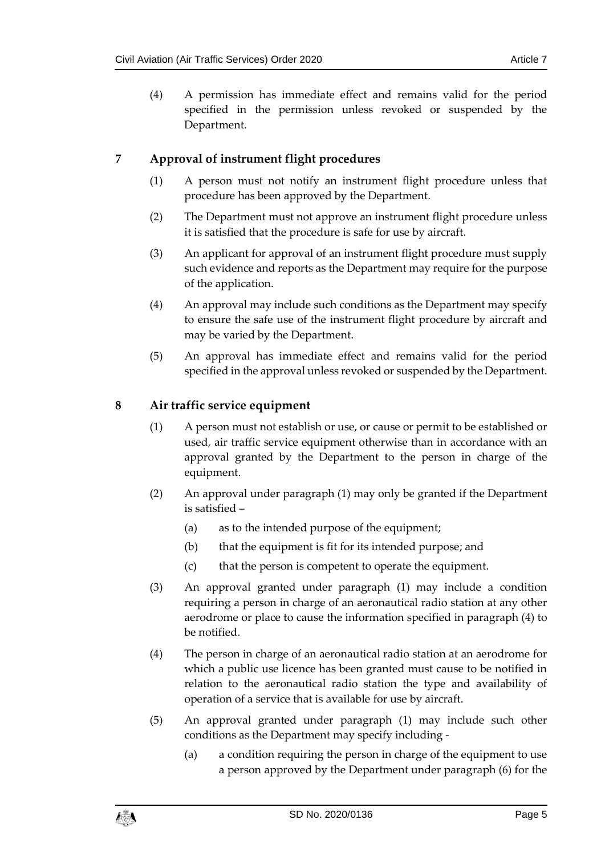(4) A permission has immediate effect and remains valid for the period specified in the permission unless revoked or suspended by the Department.

# <span id="page-4-0"></span>**7 Approval of instrument flight procedures**

- (1) A person must not notify an instrument flight procedure unless that procedure has been approved by the Department.
- (2) The Department must not approve an instrument flight procedure unless it is satisfied that the procedure is safe for use by aircraft.
- (3) An applicant for approval of an instrument flight procedure must supply such evidence and reports as the Department may require for the purpose of the application.
- (4) An approval may include such conditions as the Department may specify to ensure the safe use of the instrument flight procedure by aircraft and may be varied by the Department.
- (5) An approval has immediate effect and remains valid for the period specified in the approval unless revoked or suspended by the Department.

# <span id="page-4-1"></span>**8 Air traffic service equipment**

- (1) A person must not establish or use, or cause or permit to be established or used, air traffic service equipment otherwise than in accordance with an approval granted by the Department to the person in charge of the equipment.
- (2) An approval under paragraph (1) may only be granted if the Department is satisfied –
	- (a) as to the intended purpose of the equipment;
	- (b) that the equipment is fit for its intended purpose; and
	- (c) that the person is competent to operate the equipment.
- (3) An approval granted under paragraph (1) may include a condition requiring a person in charge of an aeronautical radio station at any other aerodrome or place to cause the information specified in paragraph (4) to be notified.
- (4) The person in charge of an aeronautical radio station at an aerodrome for which a public use licence has been granted must cause to be notified in relation to the aeronautical radio station the type and availability of operation of a service that is available for use by aircraft.
- (5) An approval granted under paragraph (1) may include such other conditions as the Department may specify including -
	- (a) a condition requiring the person in charge of the equipment to use a person approved by the Department under paragraph (6) for the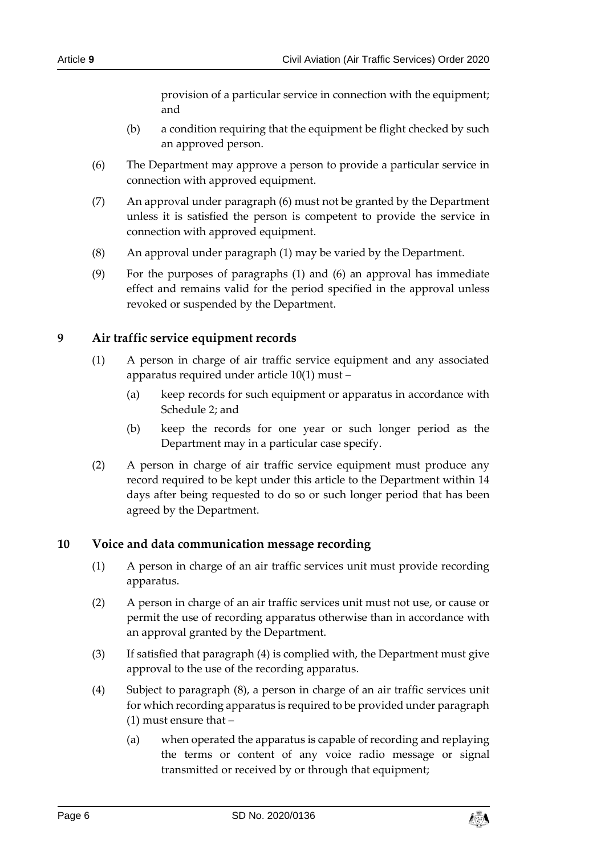provision of a particular service in connection with the equipment; and

- (b) a condition requiring that the equipment be flight checked by such an approved person.
- (6) The Department may approve a person to provide a particular service in connection with approved equipment.
- (7) An approval under paragraph (6) must not be granted by the Department unless it is satisfied the person is competent to provide the service in connection with approved equipment.
- (8) An approval under paragraph (1) may be varied by the Department.
- (9) For the purposes of paragraphs (1) and (6) an approval has immediate effect and remains valid for the period specified in the approval unless revoked or suspended by the Department.

# <span id="page-5-0"></span>**9 Air traffic service equipment records**

- (1) A person in charge of air traffic service equipment and any associated apparatus required under article 10(1) must –
	- (a) keep records for such equipment or apparatus in accordance with Schedule 2; and
	- (b) keep the records for one year or such longer period as the Department may in a particular case specify.
- (2) A person in charge of air traffic service equipment must produce any record required to be kept under this article to the Department within 14 days after being requested to do so or such longer period that has been agreed by the Department.

# <span id="page-5-1"></span>**10 Voice and data communication message recording**

- (1) A person in charge of an air traffic services unit must provide recording apparatus.
- (2) A person in charge of an air traffic services unit must not use, or cause or permit the use of recording apparatus otherwise than in accordance with an approval granted by the Department.
- (3) If satisfied that paragraph (4) is complied with, the Department must give approval to the use of the recording apparatus.
- (4) Subject to paragraph (8), a person in charge of an air traffic services unit for which recording apparatus is required to be provided under paragraph (1) must ensure that –
	- (a) when operated the apparatus is capable of recording and replaying the terms or content of any voice radio message or signal transmitted or received by or through that equipment;

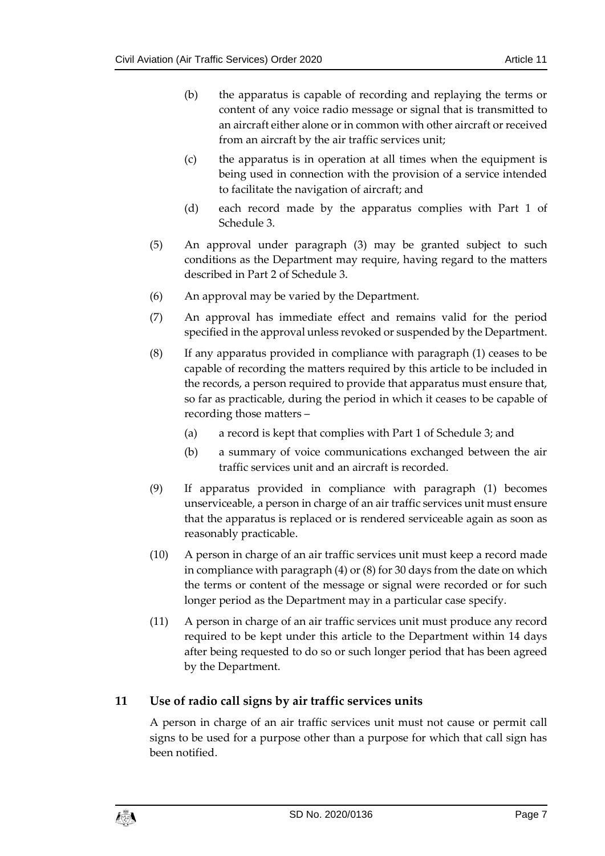- (b) the apparatus is capable of recording and replaying the terms or content of any voice radio message or signal that is transmitted to an aircraft either alone or in common with other aircraft or received from an aircraft by the air traffic services unit;
- (c) the apparatus is in operation at all times when the equipment is being used in connection with the provision of a service intended to facilitate the navigation of aircraft; and
- (d) each record made by the apparatus complies with Part 1 of Schedule 3.
- (5) An approval under paragraph (3) may be granted subject to such conditions as the Department may require, having regard to the matters described in Part 2 of Schedule 3.
- (6) An approval may be varied by the Department.
- (7) An approval has immediate effect and remains valid for the period specified in the approval unless revoked or suspended by the Department.
- (8) If any apparatus provided in compliance with paragraph (1) ceases to be capable of recording the matters required by this article to be included in the records, a person required to provide that apparatus must ensure that, so far as practicable, during the period in which it ceases to be capable of recording those matters –
	- (a) a record is kept that complies with Part 1 of Schedule 3; and
	- (b) a summary of voice communications exchanged between the air traffic services unit and an aircraft is recorded.
- (9) If apparatus provided in compliance with paragraph (1) becomes unserviceable, a person in charge of an air traffic services unit must ensure that the apparatus is replaced or is rendered serviceable again as soon as reasonably practicable.
- (10) A person in charge of an air traffic services unit must keep a record made in compliance with paragraph (4) or (8) for 30 days from the date on which the terms or content of the message or signal were recorded or for such longer period as the Department may in a particular case specify.
- (11) A person in charge of an air traffic services unit must produce any record required to be kept under this article to the Department within 14 days after being requested to do so or such longer period that has been agreed by the Department.

# <span id="page-6-0"></span>**11 Use of radio call signs by air traffic services units**

A person in charge of an air traffic services unit must not cause or permit call signs to be used for a purpose other than a purpose for which that call sign has been notified.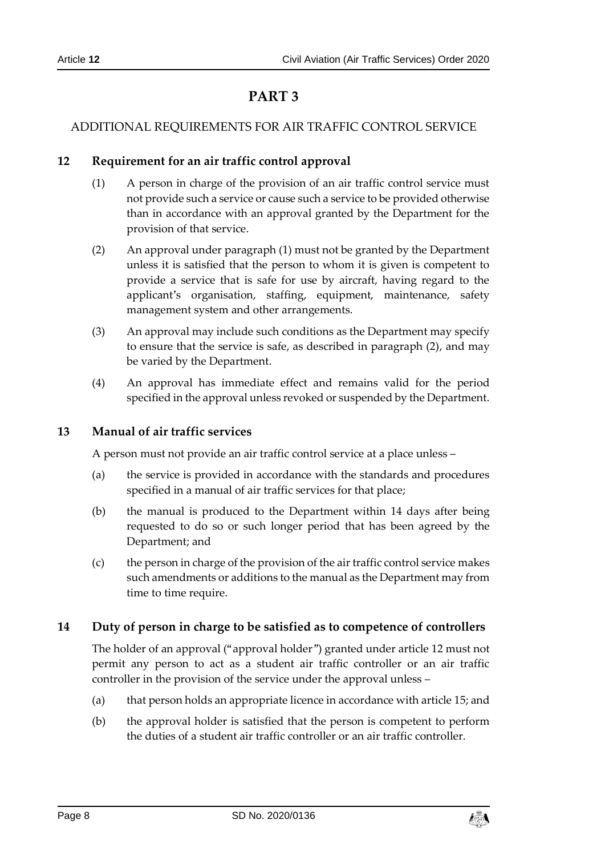# **PART 3**

# <span id="page-7-1"></span><span id="page-7-0"></span>ADDITIONAL REQUIREMENTS FOR AIR TRAFFIC CONTROL SERVICE

# <span id="page-7-2"></span>**12 Requirement for an air traffic control approval**

- (1) A person in charge of the provision of an air traffic control service must not provide such a service or cause such a service to be provided otherwise than in accordance with an approval granted by the Department for the provision of that service.
- (2) An approval under paragraph (1) must not be granted by the Department unless it is satisfied that the person to whom it is given is competent to provide a service that is safe for use by aircraft, having regard to the applicant's organisation, staffing, equipment, maintenance, safety management system and other arrangements.
- (3) An approval may include such conditions as the Department may specify to ensure that the service is safe, as described in paragraph (2), and may be varied by the Department.
- (4) An approval has immediate effect and remains valid for the period specified in the approval unless revoked or suspended by the Department.

# <span id="page-7-3"></span>**13 Manual of air traffic services**

A person must not provide an air traffic control service at a place unless –

- (a) the service is provided in accordance with the standards and procedures specified in a manual of air traffic services for that place;
- (b) the manual is produced to the Department within 14 days after being requested to do so or such longer period that has been agreed by the Department; and
- (c) the person in charge of the provision of the air traffic control service makes such amendments or additions to the manual as the Department may from time to time require.

# <span id="page-7-4"></span>**14 Duty of person in charge to be satisfied as to competence of controllers**

The holder of an approval ("approval holder") granted under article 12 must not permit any person to act as a student air traffic controller or an air traffic controller in the provision of the service under the approval unless –

- (a) that person holds an appropriate licence in accordance with article 15; and
- (b) the approval holder is satisfied that the person is competent to perform the duties of a student air traffic controller or an air traffic controller.

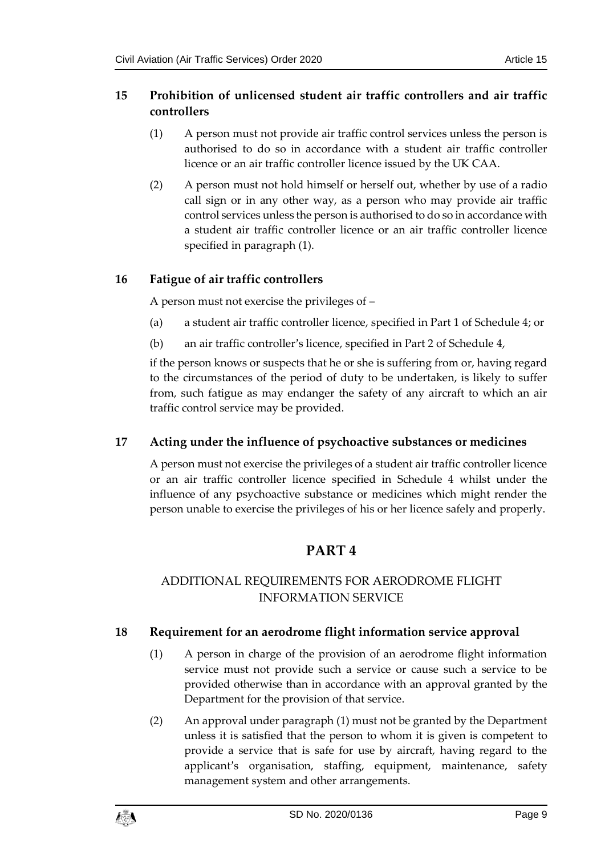# <span id="page-8-0"></span>**15 Prohibition of unlicensed student air traffic controllers and air traffic controllers**

- (1) A person must not provide air traffic control services unless the person is authorised to do so in accordance with a student air traffic controller licence or an air traffic controller licence issued by the UK CAA.
- (2) A person must not hold himself or herself out, whether by use of a radio call sign or in any other way, as a person who may provide air traffic control services unless the person is authorised to do so in accordance with a student air traffic controller licence or an air traffic controller licence specified in paragraph (1).

# <span id="page-8-1"></span>**16 Fatigue of air traffic controllers**

A person must not exercise the privileges of –

- (a) a student air traffic controller licence, specified in Part 1 of Schedule 4; or
- (b) an air traffic controller's licence, specified in Part 2 of Schedule 4,

if the person knows or suspects that he or she is suffering from or, having regard to the circumstances of the period of duty to be undertaken, is likely to suffer from, such fatigue as may endanger the safety of any aircraft to which an air traffic control service may be provided.

# <span id="page-8-2"></span>**17 Acting under the influence of psychoactive substances or medicines**

<span id="page-8-3"></span>A person must not exercise the privileges of a student air traffic controller licence or an air traffic controller licence specified in Schedule 4 whilst under the influence of any psychoactive substance or medicines which might render the person unable to exercise the privileges of his or her licence safely and properly.

# **PART 4**

# <span id="page-8-4"></span>ADDITIONAL REQUIREMENTS FOR AERODROME FLIGHT INFORMATION SERVICE

# <span id="page-8-5"></span>**18 Requirement for an aerodrome flight information service approval**

- (1) A person in charge of the provision of an aerodrome flight information service must not provide such a service or cause such a service to be provided otherwise than in accordance with an approval granted by the Department for the provision of that service.
- (2) An approval under paragraph (1) must not be granted by the Department unless it is satisfied that the person to whom it is given is competent to provide a service that is safe for use by aircraft, having regard to the applicant's organisation, staffing, equipment, maintenance, safety management system and other arrangements.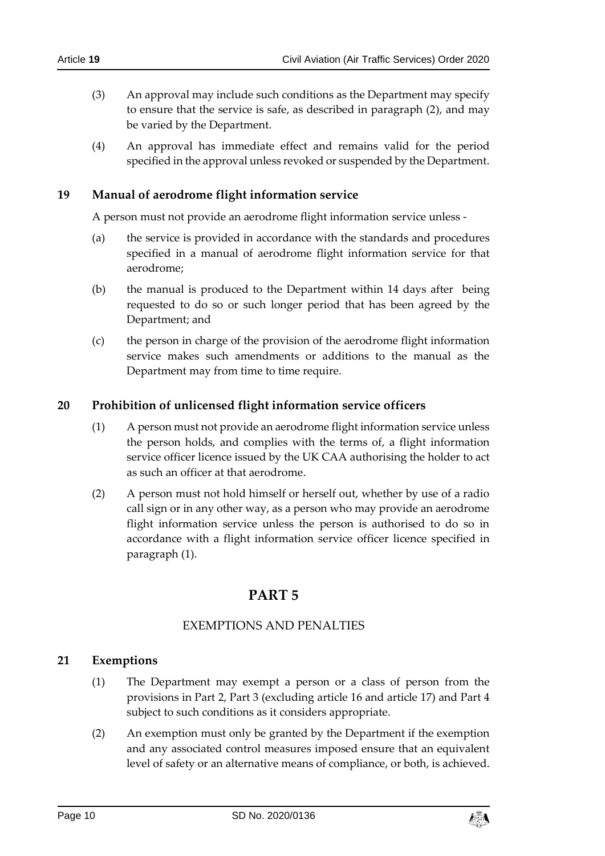- (3) An approval may include such conditions as the Department may specify to ensure that the service is safe, as described in paragraph (2), and may be varied by the Department.
- (4) An approval has immediate effect and remains valid for the period specified in the approval unless revoked or suspended by the Department.

# <span id="page-9-0"></span>**19 Manual of aerodrome flight information service**

A person must not provide an aerodrome flight information service unless -

- (a) the service is provided in accordance with the standards and procedures specified in a manual of aerodrome flight information service for that aerodrome;
- (b) the manual is produced to the Department within 14 days after being requested to do so or such longer period that has been agreed by the Department; and
- (c) the person in charge of the provision of the aerodrome flight information service makes such amendments or additions to the manual as the Department may from time to time require.

# <span id="page-9-1"></span>**20 Prohibition of unlicensed flight information service officers**

- (1) A person must not provide an aerodrome flight information service unless the person holds, and complies with the terms of, a flight information service officer licence issued by the UK CAA authorising the holder to act as such an officer at that aerodrome.
- <span id="page-9-2"></span>(2) A person must not hold himself or herself out, whether by use of a radio call sign or in any other way, as a person who may provide an aerodrome flight information service unless the person is authorised to do so in accordance with a flight information service officer licence specified in paragraph (1).

# **PART 5**

# EXEMPTIONS AND PENALTIES

# <span id="page-9-4"></span><span id="page-9-3"></span>**21 Exemptions**

- (1) The Department may exempt a person or a class of person from the provisions in Part 2, Part 3 (excluding article 16 and article 17) and Part 4 subject to such conditions as it considers appropriate.
- (2) An exemption must only be granted by the Department if the exemption and any associated control measures imposed ensure that an equivalent level of safety or an alternative means of compliance, or both, is achieved.

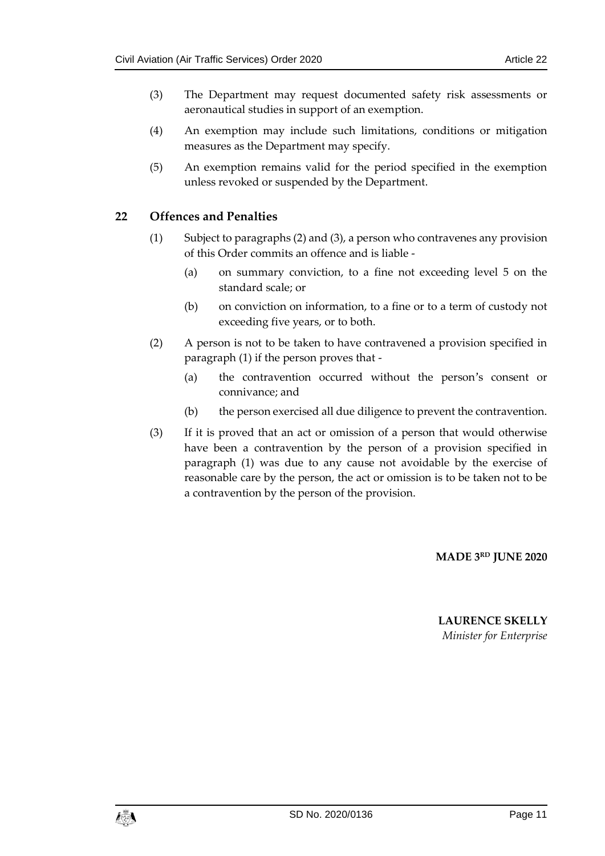- (3) The Department may request documented safety risk assessments or aeronautical studies in support of an exemption.
- (4) An exemption may include such limitations, conditions or mitigation measures as the Department may specify.
- (5) An exemption remains valid for the period specified in the exemption unless revoked or suspended by the Department.

# <span id="page-10-0"></span>**22 Offences and Penalties**

- (1) Subject to paragraphs (2) and (3), a person who contravenes any provision of this Order commits an offence and is liable -
	- (a) on summary conviction, to a fine not exceeding level 5 on the standard scale; or
	- (b) on conviction on information, to a fine or to a term of custody not exceeding five years, or to both.
- (2) A person is not to be taken to have contravened a provision specified in paragraph (1) if the person proves that -
	- (a) the contravention occurred without the person's consent or connivance; and
	- (b) the person exercised all due diligence to prevent the contravention.
- (3) If it is proved that an act or omission of a person that would otherwise have been a contravention by the person of a provision specified in paragraph (1) was due to any cause not avoidable by the exercise of reasonable care by the person, the act or omission is to be taken not to be a contravention by the person of the provision.

#### **MADE 3 RD JUNE 2020**

# **LAURENCE SKELLY** *Minister for Enterprise*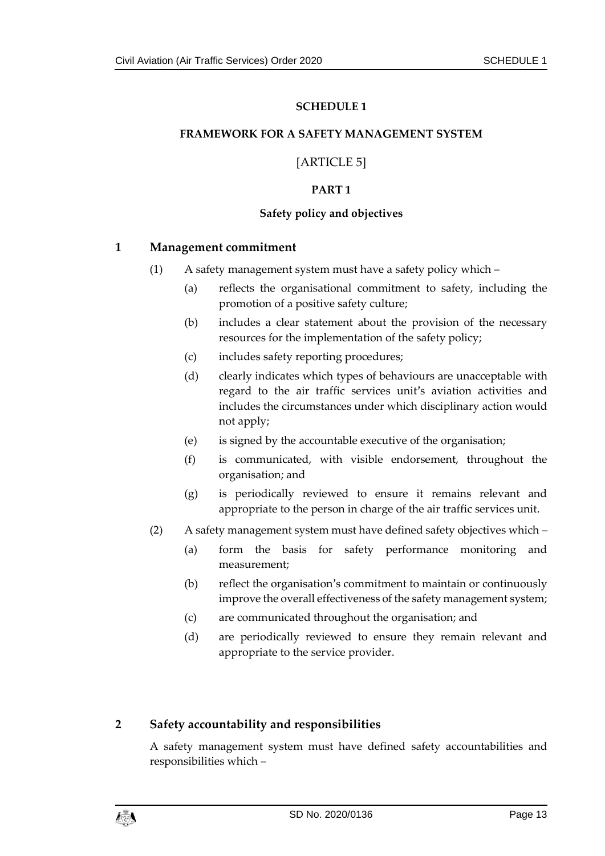#### <span id="page-12-1"></span><span id="page-12-0"></span>**FRAMEWORK FOR A SAFETY MANAGEMENT SYSTEM**

# [ARTICLE 5]

#### **PART 1**

#### **Safety policy and objectives**

#### **1 Management commitment**

- (1) A safety management system must have a safety policy which
	- (a) reflects the organisational commitment to safety, including the promotion of a positive safety culture;
	- (b) includes a clear statement about the provision of the necessary resources for the implementation of the safety policy;
	- (c) includes safety reporting procedures;
	- (d) clearly indicates which types of behaviours are unacceptable with regard to the air traffic services unit's aviation activities and includes the circumstances under which disciplinary action would not apply;
	- (e) is signed by the accountable executive of the organisation;
	- (f) is communicated, with visible endorsement, throughout the organisation; and
	- (g) is periodically reviewed to ensure it remains relevant and appropriate to the person in charge of the air traffic services unit.
- (2) A safety management system must have defined safety objectives which
	- (a) form the basis for safety performance monitoring and measurement;
	- (b) reflect the organisation's commitment to maintain or continuously improve the overall effectiveness of the safety management system;
	- (c) are communicated throughout the organisation; and
	- (d) are periodically reviewed to ensure they remain relevant and appropriate to the service provider.

#### **2 Safety accountability and responsibilities**

A safety management system must have defined safety accountabilities and responsibilities which –

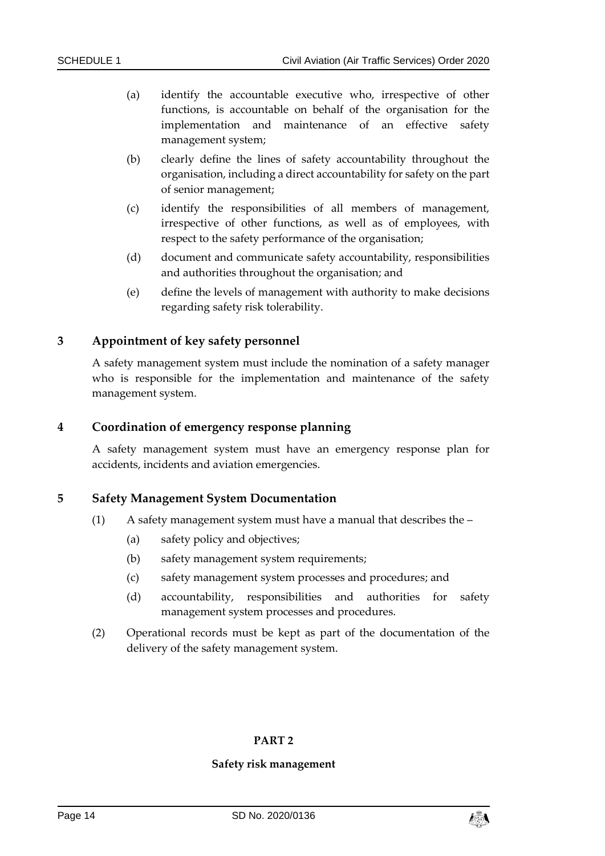- (a) identify the accountable executive who, irrespective of other functions, is accountable on behalf of the organisation for the implementation and maintenance of an effective safety management system;
- (b) clearly define the lines of safety accountability throughout the organisation, including a direct accountability for safety on the part of senior management;
- (c) identify the responsibilities of all members of management, irrespective of other functions, as well as of employees, with respect to the safety performance of the organisation;
- (d) document and communicate safety accountability, responsibilities and authorities throughout the organisation; and
- (e) define the levels of management with authority to make decisions regarding safety risk tolerability.

#### **3 Appointment of key safety personnel**

A safety management system must include the nomination of a safety manager who is responsible for the implementation and maintenance of the safety management system.

#### **4 Coordination of emergency response planning**

A safety management system must have an emergency response plan for accidents, incidents and aviation emergencies.

#### **5 Safety Management System Documentation**

- (1) A safety management system must have a manual that describes the
	- (a) safety policy and objectives;
	- (b) safety management system requirements;
	- (c) safety management system processes and procedures; and
	- (d) accountability, responsibilities and authorities for safety management system processes and procedures.
- (2) Operational records must be kept as part of the documentation of the delivery of the safety management system.

#### **PART 2**

#### **Safety risk management**

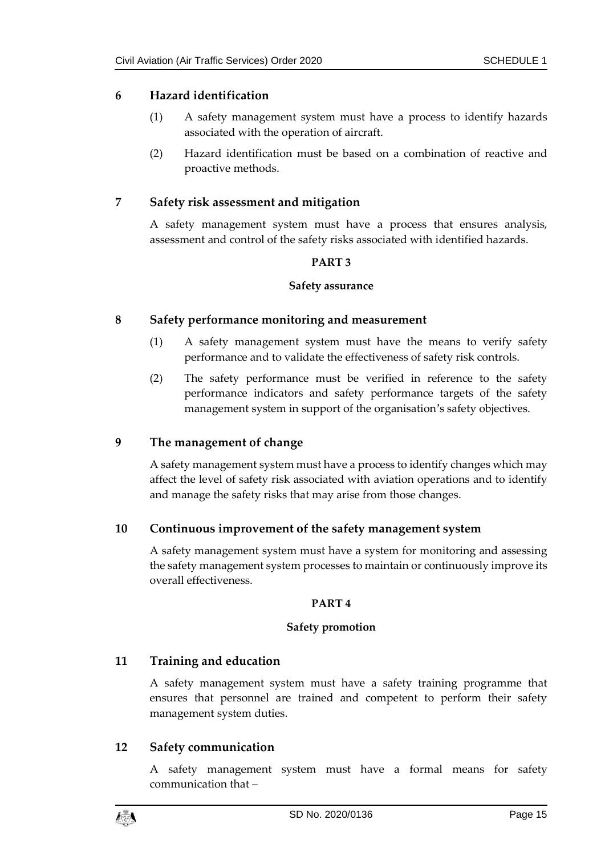# **6 Hazard identification**

- (1) A safety management system must have a process to identify hazards associated with the operation of aircraft.
- (2) Hazard identification must be based on a combination of reactive and proactive methods.

# **7 Safety risk assessment and mitigation**

A safety management system must have a process that ensures analysis, assessment and control of the safety risks associated with identified hazards.

#### **PART 3**

#### **Safety assurance**

#### **8 Safety performance monitoring and measurement**

- (1) A safety management system must have the means to verify safety performance and to validate the effectiveness of safety risk controls.
- (2) The safety performance must be verified in reference to the safety performance indicators and safety performance targets of the safety management system in support of the organisation's safety objectives.

# **9 The management of change**

A safety management system must have a process to identify changes which may affect the level of safety risk associated with aviation operations and to identify and manage the safety risks that may arise from those changes.

# **10 Continuous improvement of the safety management system**

A safety management system must have a system for monitoring and assessing the safety management system processes to maintain or continuously improve its overall effectiveness.

#### **PART 4**

#### **Safety promotion**

# **11 Training and education**

A safety management system must have a safety training programme that ensures that personnel are trained and competent to perform their safety management system duties.

# **12 Safety communication**

A safety management system must have a formal means for safety communication that –

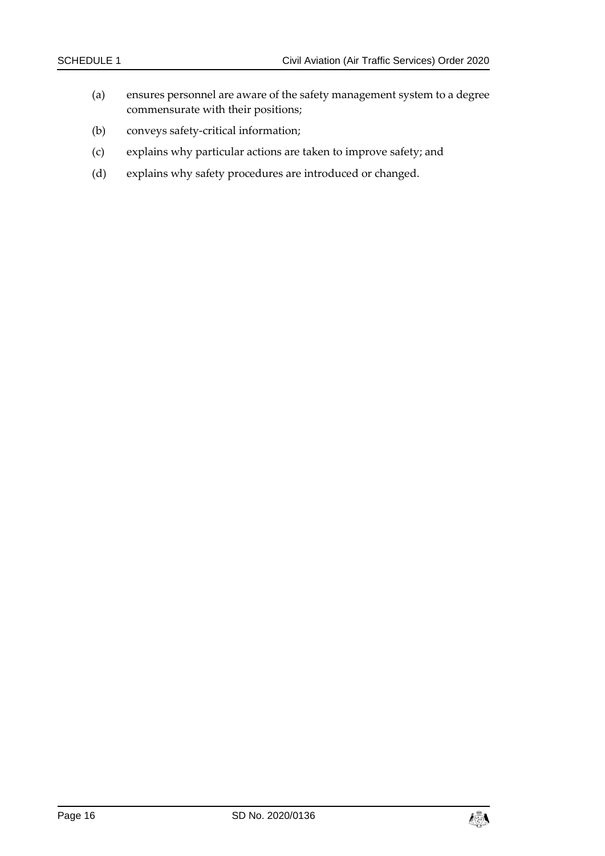- (a) ensures personnel are aware of the safety management system to a degree commensurate with their positions;
- (b) conveys safety-critical information;
- (c) explains why particular actions are taken to improve safety; and
- (d) explains why safety procedures are introduced or changed.

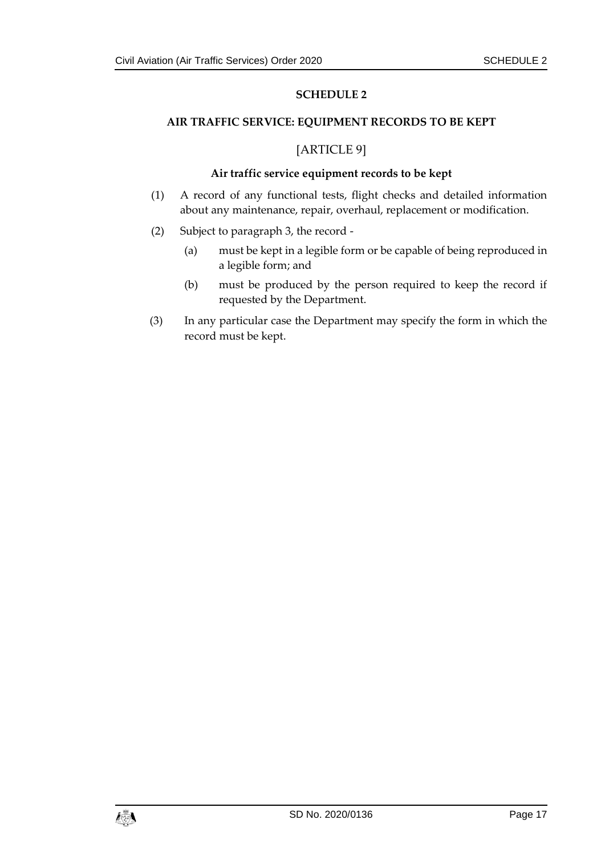#### <span id="page-16-1"></span><span id="page-16-0"></span>**AIR TRAFFIC SERVICE: EQUIPMENT RECORDS TO BE KEPT**

### [ARTICLE 9]

#### **Air traffic service equipment records to be kept**

- (1) A record of any functional tests, flight checks and detailed information about any maintenance, repair, overhaul, replacement or modification.
- (2) Subject to paragraph 3, the record
	- (a) must be kept in a legible form or be capable of being reproduced in a legible form; and
	- (b) must be produced by the person required to keep the record if requested by the Department.
- (3) In any particular case the Department may specify the form in which the record must be kept.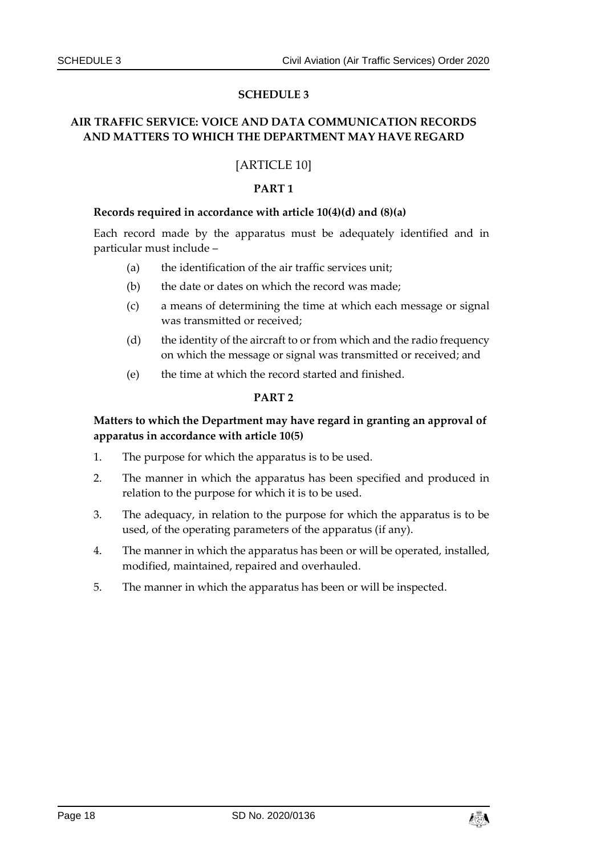# <span id="page-17-1"></span><span id="page-17-0"></span>**AIR TRAFFIC SERVICE: VOICE AND DATA COMMUNICATION RECORDS AND MATTERS TO WHICH THE DEPARTMENT MAY HAVE REGARD**

# [ARTICLE 10]

#### **PART 1**

#### **Records required in accordance with article 10(4)(d) and (8)(a)**

Each record made by the apparatus must be adequately identified and in particular must include –

- (a) the identification of the air traffic services unit;
- (b) the date or dates on which the record was made;
- (c) a means of determining the time at which each message or signal was transmitted or received;
- (d) the identity of the aircraft to or from which and the radio frequency on which the message or signal was transmitted or received; and
- (e) the time at which the record started and finished.

#### **PART 2**

#### **Matters to which the Department may have regard in granting an approval of apparatus in accordance with article 10(5)**

- 1. The purpose for which the apparatus is to be used.
- 2. The manner in which the apparatus has been specified and produced in relation to the purpose for which it is to be used.
- 3. The adequacy, in relation to the purpose for which the apparatus is to be used, of the operating parameters of the apparatus (if any).
- 4. The manner in which the apparatus has been or will be operated, installed, modified, maintained, repaired and overhauled.
- 5. The manner in which the apparatus has been or will be inspected.

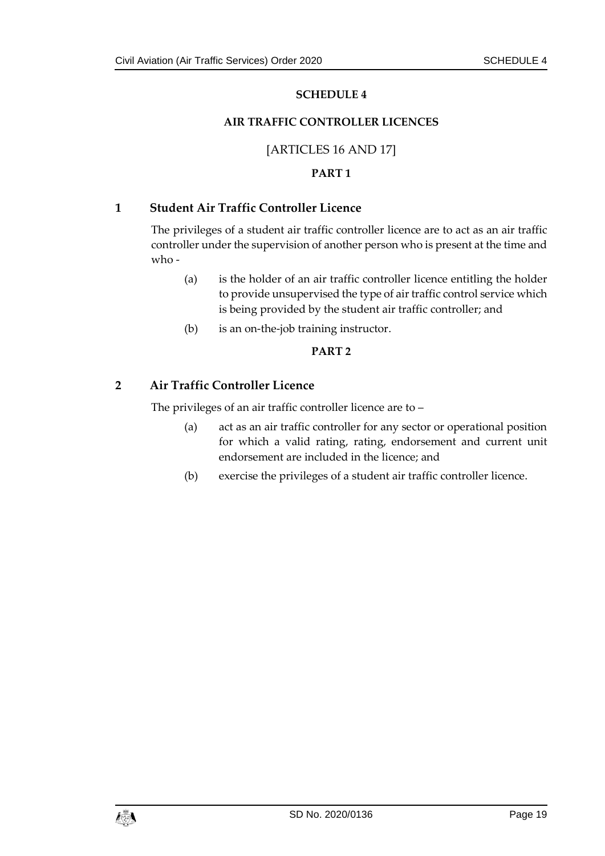#### **AIR TRAFFIC CONTROLLER LICENCES**

#### [ARTICLES 16 AND 17]

#### **PART 1**

#### <span id="page-18-1"></span><span id="page-18-0"></span>**1 Student Air Traffic Controller Licence**

The privileges of a student air traffic controller licence are to act as an air traffic controller under the supervision of another person who is present at the time and who -

- (a) is the holder of an air traffic controller licence entitling the holder to provide unsupervised the type of air traffic control service which is being provided by the student air traffic controller; and
- (b) is an on-the-job training instructor.

#### **PART 2**

#### **2 Air Traffic Controller Licence**

The privileges of an air traffic controller licence are to –

- (a) act as an air traffic controller for any sector or operational position for which a valid rating, rating, endorsement and current unit endorsement are included in the licence; and
- (b) exercise the privileges of a student air traffic controller licence.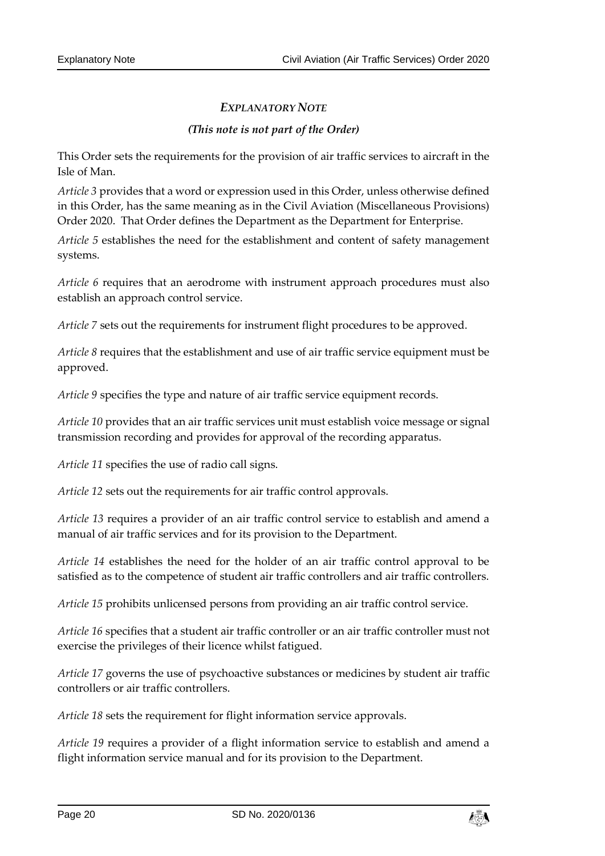# *EXPLANATORY NOTE*

### *(This note is not part of the Order)*

This Order sets the requirements for the provision of air traffic services to aircraft in the Isle of Man.

*Article 3* provides that a word or expression used in this Order, unless otherwise defined in this Order, has the same meaning as in the Civil Aviation (Miscellaneous Provisions) Order 2020. That Order defines the Department as the Department for Enterprise.

*Article 5* establishes the need for the establishment and content of safety management systems.

*Article 6* requires that an aerodrome with instrument approach procedures must also establish an approach control service.

*Article 7* sets out the requirements for instrument flight procedures to be approved.

*Article 8* requires that the establishment and use of air traffic service equipment must be approved.

*Article 9* specifies the type and nature of air traffic service equipment records.

*Article 10* provides that an air traffic services unit must establish voice message or signal transmission recording and provides for approval of the recording apparatus.

*Article 11* specifies the use of radio call signs.

*Article 12* sets out the requirements for air traffic control approvals.

*Article 13* requires a provider of an air traffic control service to establish and amend a manual of air traffic services and for its provision to the Department.

*Article 14* establishes the need for the holder of an air traffic control approval to be satisfied as to the competence of student air traffic controllers and air traffic controllers.

*Article 15* prohibits unlicensed persons from providing an air traffic control service.

*Article 16* specifies that a student air traffic controller or an air traffic controller must not exercise the privileges of their licence whilst fatigued.

*Article 17* governs the use of psychoactive substances or medicines by student air traffic controllers or air traffic controllers.

*Article 18* sets the requirement for flight information service approvals.

*Article 19* requires a provider of a flight information service to establish and amend a flight information service manual and for its provision to the Department.